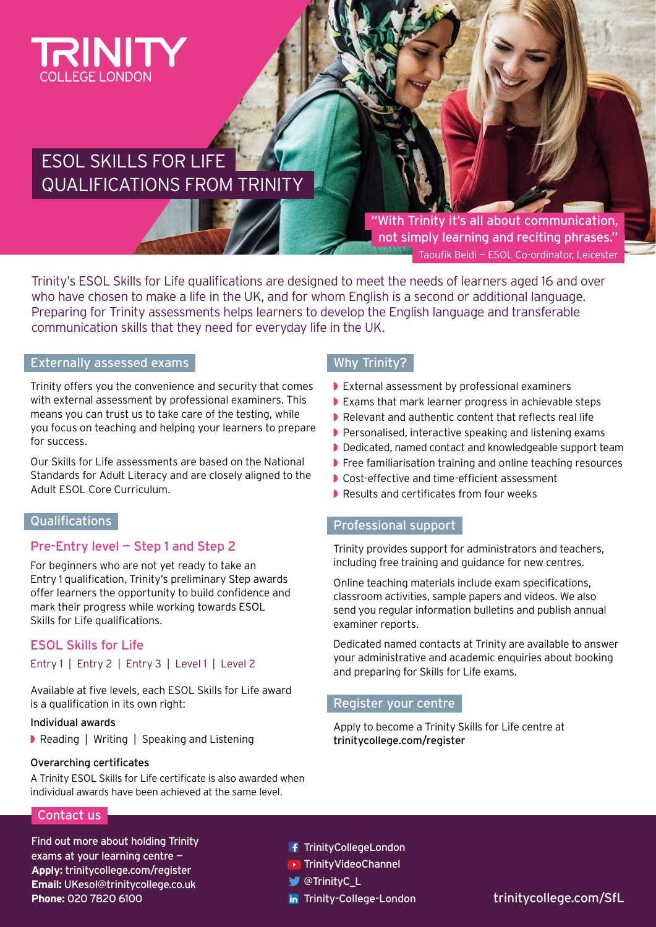

# ESOL SKILLS FOR LIFE QUALIFICATIONS FROM TRINITY

"With Trinity it's all about communication, not simply learning and reciting phrases." Taoufik Beldi — ESOL Co-ordinator, Leicester

Trinity's ESOL Skills for Life qualifications are designed to meet the needs of learners aged 16 and over who have chosen to make a life in the UK, and for whom English is a second or additional language. Preparing for Trinity assessments helps learners to develop the English language and transferable communication skills that they need for everyday life in the UK.

## Externally assessed exams

Trinity offers you the convenience and security that comes with external assessment by professional examiners. This means you can trust us to take care of the testing, while you focus on teaching and helping your learners to prepare for success.

Our Skills for Life assessments are based on the National Standards for Adult Literacy and are closely aligned to the Adult ESOL Core Curriculum.

## Qualifications

## Pre-Entry level — Step 1 and Step 2

For beginners who are not yet ready to take an Entry 1 qualification, Trinity's preliminary Step awards offer learners the opportunity to build confidence and mark their progress while working towards ESOL Skills for Life qualifications.

## ESOL Skills for Life

#### Entry 1 | Entry 2 | Entry 3 | Level 1 | Level 2

Available at five levels, each ESOL Skills for Life award is a qualification in its own right:

#### Individual awards

◗ Reading | Writing | Speaking and Listening

#### Overarching certificates

A Trinity ESOL Skills for Life certificate is also awarded when individual awards have been achieved at the same level.

## Why Trinity?

- ◗ External assessment by professional examiners
- ◗ Exams that mark learner progress in achievable steps
- ◗ Relevant and authentic content that reflects real life
- ◗ Personalised, interactive speaking and listening exams
- ◗ Dedicated, named contact and knowledgeable support team
- ◗ Free familiarisation training and online teaching resources
- ◗ Cost-effective and time-efficient assessment
- ◗ Results and certificates from four weeks

## Professional support

Trinity provides support for administrators and teachers, including free training and guidance for new centres.

Online teaching materials include exam specifications, classroom activities, sample papers and videos. We also send you regular information bulletins and publish annual examiner reports.

Dedicated named contacts at Trinity are available to answer your administrative and academic enquiries about booking and preparing for Skills for Life exams.

#### Register your centre

Apply to become a Trinity Skills for Life centre at [trinitycollege.com/register](http://trinitycollege.com/register)

Contact us

Find out more about holding Trinity exams at your learning centre — **Apply:** [trinitycollege.com/register](http://trinitycollege.com/register) **Email:** [UKesol@trinitycollege.co.uk](mailto:UKesol%40trinitycollege.co.uk%20?subject=)  **Phone:** 020 7820 6100

- **f** [TrinityCollegeLondon](https://www.facebook.com/TrinityCollegeLondon)
- ▶ [TrinityVideoChannel](https://www.youtube.com/user/TrinityVideoChannel)
- [@TrinityC\\_L](https://mobile.twitter.com/TrinityC_L)
- in [Trinity-College-London](https://www.linkedin.com/company/trinity-college-london)

[trinitycollege.com/SfL](http://trinitycollege.com/SfL)